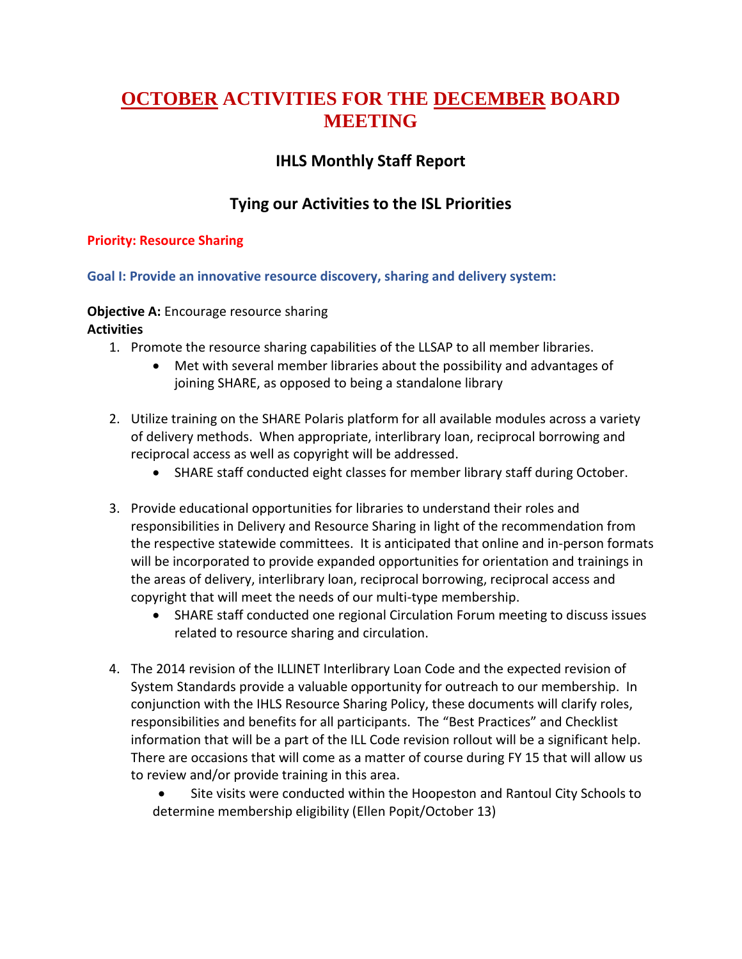# **OCTOBER ACTIVITIES FOR THE DECEMBER BOARD MEETING**

# **IHLS Monthly Staff Report**

# **Tying our Activities to the ISL Priorities**

# **Priority: Resource Sharing**

# **Goal I: Provide an innovative resource discovery, sharing and delivery system:**

#### **Objective A:** Encourage resource sharing

- 1. Promote the resource sharing capabilities of the LLSAP to all member libraries.
	- Met with several member libraries about the possibility and advantages of joining SHARE, as opposed to being a standalone library
- 2. Utilize training on the SHARE Polaris platform for all available modules across a variety of delivery methods. When appropriate, interlibrary loan, reciprocal borrowing and reciprocal access as well as copyright will be addressed.
	- SHARE staff conducted eight classes for member library staff during October.
- 3. Provide educational opportunities for libraries to understand their roles and responsibilities in Delivery and Resource Sharing in light of the recommendation from the respective statewide committees. It is anticipated that online and in-person formats will be incorporated to provide expanded opportunities for orientation and trainings in the areas of delivery, interlibrary loan, reciprocal borrowing, reciprocal access and copyright that will meet the needs of our multi-type membership.
	- SHARE staff conducted one regional Circulation Forum meeting to discuss issues related to resource sharing and circulation.
- 4. The 2014 revision of the ILLINET Interlibrary Loan Code and the expected revision of System Standards provide a valuable opportunity for outreach to our membership. In conjunction with the IHLS Resource Sharing Policy, these documents will clarify roles, responsibilities and benefits for all participants. The "Best Practices" and Checklist information that will be a part of the ILL Code revision rollout will be a significant help. There are occasions that will come as a matter of course during FY 15 that will allow us to review and/or provide training in this area.
	- Site visits were conducted within the Hoopeston and Rantoul City Schools to determine membership eligibility (Ellen Popit/October 13)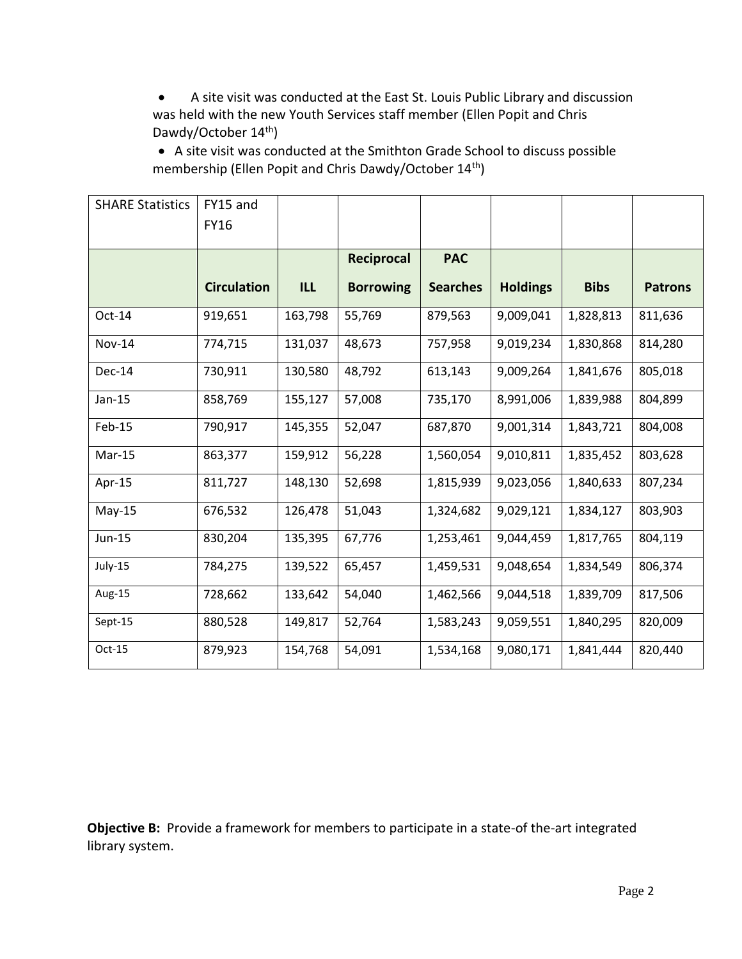A site visit was conducted at the East St. Louis Public Library and discussion was held with the new Youth Services staff member (Ellen Popit and Chris Dawdy/October 14<sup>th</sup>)

 A site visit was conducted at the Smithton Grade School to discuss possible membership (Ellen Popit and Chris Dawdy/October 14th)

| <b>SHARE Statistics</b> | FY15 and           |            |                   |                 |                 |             |                |
|-------------------------|--------------------|------------|-------------------|-----------------|-----------------|-------------|----------------|
|                         | <b>FY16</b>        |            |                   |                 |                 |             |                |
|                         |                    |            | <b>Reciprocal</b> | <b>PAC</b>      |                 |             |                |
|                         | <b>Circulation</b> | <b>ILL</b> | <b>Borrowing</b>  | <b>Searches</b> | <b>Holdings</b> | <b>Bibs</b> | <b>Patrons</b> |
| Oct-14                  | 919,651            | 163,798    | 55,769            | 879,563         | 9,009,041       | 1,828,813   | 811,636        |
| <b>Nov-14</b>           | 774,715            | 131,037    | 48,673            | 757,958         | 9,019,234       | 1,830,868   | 814,280        |
| Dec-14                  | 730,911            | 130,580    | 48,792            | 613,143         | 9,009,264       | 1,841,676   | 805,018        |
| $Jan-15$                | 858,769            | 155,127    | 57,008            | 735,170         | 8,991,006       | 1,839,988   | 804,899        |
| Feb-15                  | 790,917            | 145,355    | 52,047            | 687,870         | 9,001,314       | 1,843,721   | 804,008        |
| Mar-15                  | 863,377            | 159,912    | 56,228            | 1,560,054       | 9,010,811       | 1,835,452   | 803,628        |
| Apr-15                  | 811,727            | 148,130    | 52,698            | 1,815,939       | 9,023,056       | 1,840,633   | 807,234        |
| $May-15$                | 676,532            | 126,478    | 51,043            | 1,324,682       | 9,029,121       | 1,834,127   | 803,903        |
| Jun-15                  | 830,204            | 135,395    | 67,776            | 1,253,461       | 9,044,459       | 1,817,765   | 804,119        |
| July-15                 | 784,275            | 139,522    | 65,457            | 1,459,531       | 9,048,654       | 1,834,549   | 806,374        |
| Aug-15                  | 728,662            | 133,642    | 54,040            | 1,462,566       | 9,044,518       | 1,839,709   | 817,506        |
| Sept-15                 | 880,528            | 149,817    | 52,764            | 1,583,243       | 9,059,551       | 1,840,295   | 820,009        |
| $Oct-15$                | 879,923            | 154,768    | 54,091            | 1,534,168       | 9,080,171       | 1,841,444   | 820,440        |

**Objective B:** Provide a framework for members to participate in a state-of the-art integrated library system.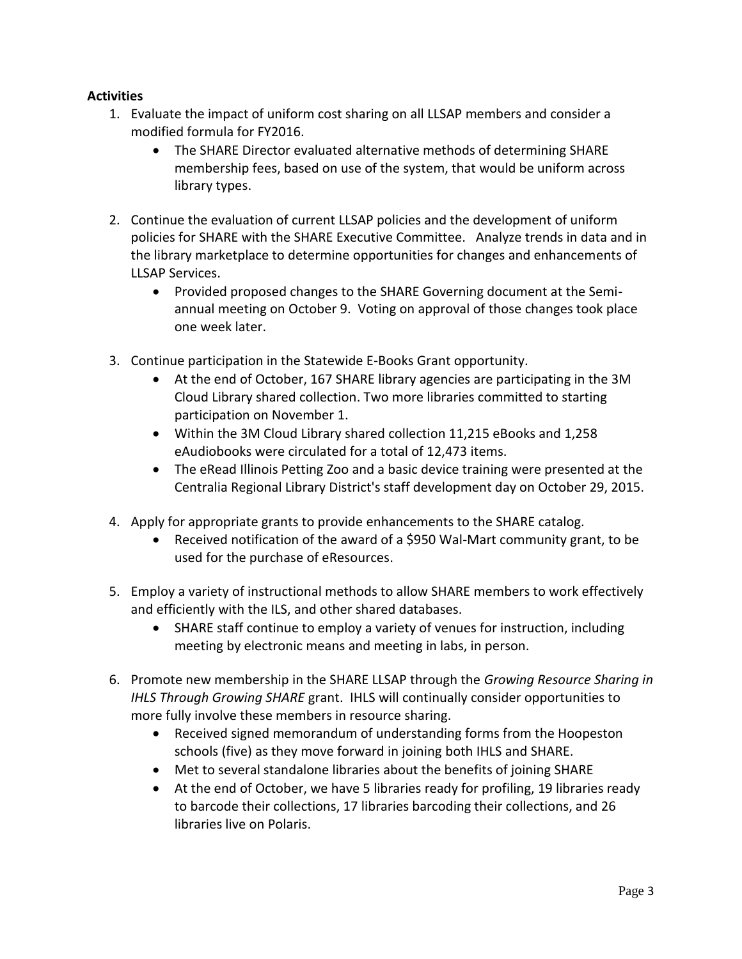- 1. Evaluate the impact of uniform cost sharing on all LLSAP members and consider a modified formula for FY2016.
	- The SHARE Director evaluated alternative methods of determining SHARE membership fees, based on use of the system, that would be uniform across library types.
- 2. Continue the evaluation of current LLSAP policies and the development of uniform policies for SHARE with the SHARE Executive Committee. Analyze trends in data and in the library marketplace to determine opportunities for changes and enhancements of LLSAP Services.
	- Provided proposed changes to the SHARE Governing document at the Semiannual meeting on October 9. Voting on approval of those changes took place one week later.
- 3. Continue participation in the Statewide E-Books Grant opportunity.
	- At the end of October, 167 SHARE library agencies are participating in the 3M Cloud Library shared collection. Two more libraries committed to starting participation on November 1.
	- Within the 3M Cloud Library shared collection 11,215 eBooks and 1,258 eAudiobooks were circulated for a total of 12,473 items.
	- The eRead Illinois Petting Zoo and a basic device training were presented at the Centralia Regional Library District's staff development day on October 29, 2015.
- 4. Apply for appropriate grants to provide enhancements to the SHARE catalog.
	- Received notification of the award of a \$950 Wal-Mart community grant, to be used for the purchase of eResources.
- 5. Employ a variety of instructional methods to allow SHARE members to work effectively and efficiently with the ILS, and other shared databases.
	- SHARE staff continue to employ a variety of venues for instruction, including meeting by electronic means and meeting in labs, in person.
- 6. Promote new membership in the SHARE LLSAP through the *Growing Resource Sharing in IHLS Through Growing SHARE* grant. IHLS will continually consider opportunities to more fully involve these members in resource sharing.
	- Received signed memorandum of understanding forms from the Hoopeston schools (five) as they move forward in joining both IHLS and SHARE.
	- Met to several standalone libraries about the benefits of joining SHARE
	- At the end of October, we have 5 libraries ready for profiling, 19 libraries ready to barcode their collections, 17 libraries barcoding their collections, and 26 libraries live on Polaris.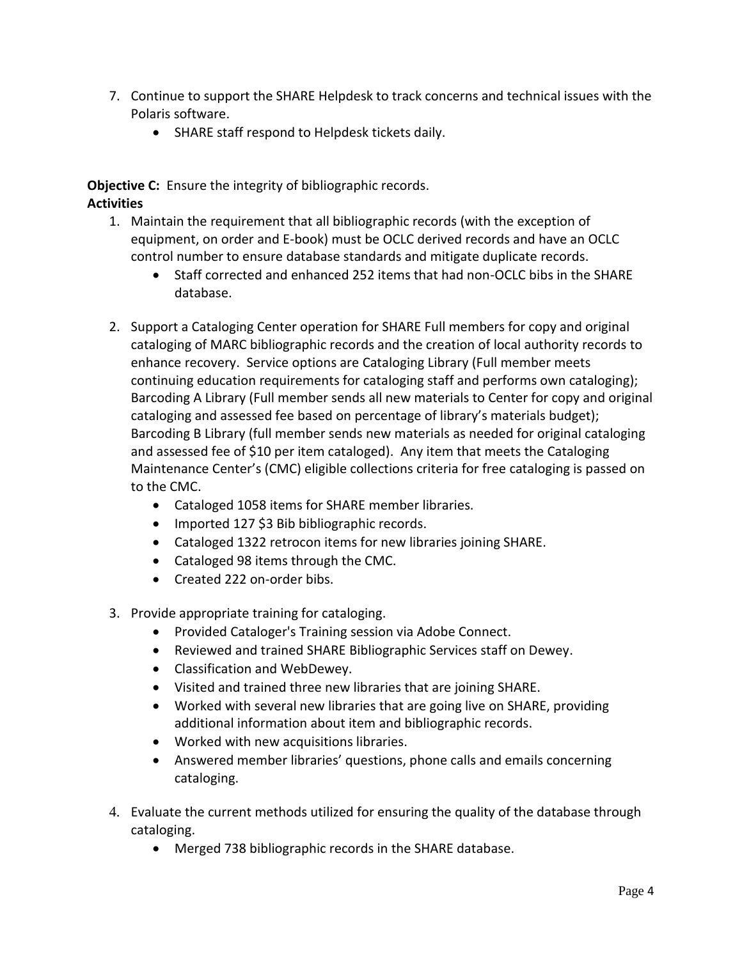- 7. Continue to support the SHARE Helpdesk to track concerns and technical issues with the Polaris software.
	- SHARE staff respond to Helpdesk tickets daily.

**Objective C:** Ensure the integrity of bibliographic records. **Activities**

- 1. Maintain the requirement that all bibliographic records (with the exception of equipment, on order and E-book) must be OCLC derived records and have an OCLC control number to ensure database standards and mitigate duplicate records.
	- Staff corrected and enhanced 252 items that had non-OCLC bibs in the SHARE database.
- 2. Support a Cataloging Center operation for SHARE Full members for copy and original cataloging of MARC bibliographic records and the creation of local authority records to enhance recovery. Service options are Cataloging Library (Full member meets continuing education requirements for cataloging staff and performs own cataloging); Barcoding A Library (Full member sends all new materials to Center for copy and original cataloging and assessed fee based on percentage of library's materials budget); Barcoding B Library (full member sends new materials as needed for original cataloging and assessed fee of \$10 per item cataloged). Any item that meets the Cataloging Maintenance Center's (CMC) eligible collections criteria for free cataloging is passed on to the CMC.
	- Cataloged 1058 items for SHARE member libraries.
	- Imported 127 \$3 Bib bibliographic records.
	- Cataloged 1322 retrocon items for new libraries joining SHARE.
	- Cataloged 98 items through the CMC.
	- Created 222 on-order bibs.
- 3. Provide appropriate training for cataloging.
	- Provided Cataloger's Training session via Adobe Connect.
	- Reviewed and trained SHARE Bibliographic Services staff on Dewey.
	- Classification and WebDewey.
	- Visited and trained three new libraries that are joining SHARE.
	- Worked with several new libraries that are going live on SHARE, providing additional information about item and bibliographic records.
	- Worked with new acquisitions libraries.
	- Answered member libraries' questions, phone calls and emails concerning cataloging.
- 4. Evaluate the current methods utilized for ensuring the quality of the database through cataloging.
	- Merged 738 bibliographic records in the SHARE database.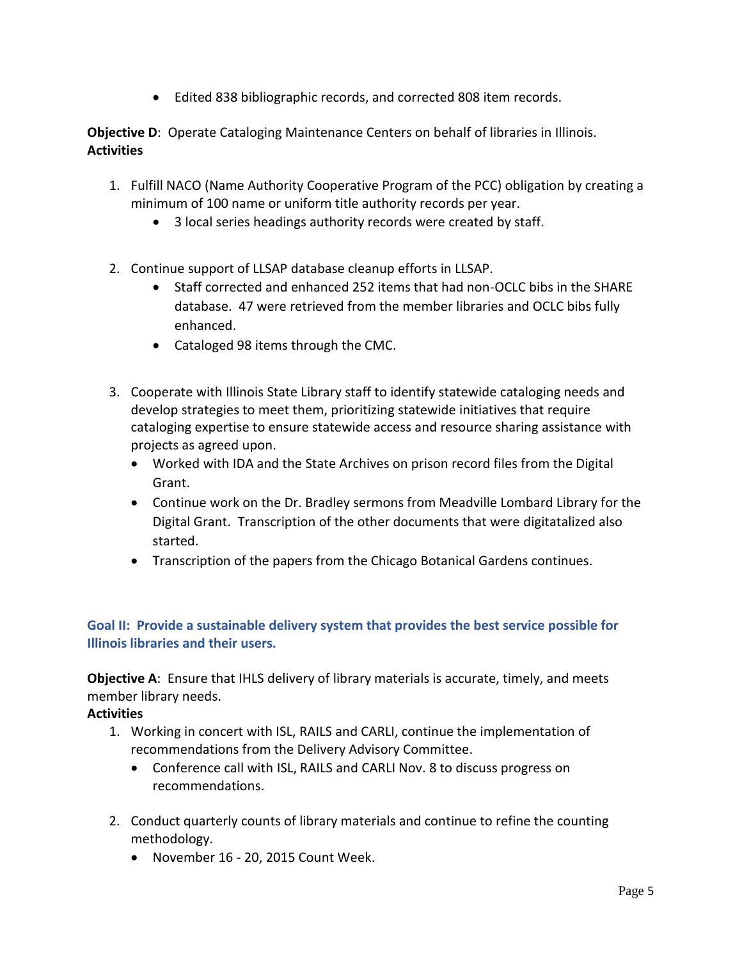Edited 838 bibliographic records, and corrected 808 item records.

**Objective D**: Operate Cataloging Maintenance Centers on behalf of libraries in Illinois. **Activities**

- 1. Fulfill NACO (Name Authority Cooperative Program of the PCC) obligation by creating a minimum of 100 name or uniform title authority records per year.
	- 3 local series headings authority records were created by staff.
- 2. Continue support of LLSAP database cleanup efforts in LLSAP.
	- Staff corrected and enhanced 252 items that had non-OCLC bibs in the SHARE database. 47 were retrieved from the member libraries and OCLC bibs fully enhanced.
	- Cataloged 98 items through the CMC.
- 3. Cooperate with Illinois State Library staff to identify statewide cataloging needs and develop strategies to meet them, prioritizing statewide initiatives that require cataloging expertise to ensure statewide access and resource sharing assistance with projects as agreed upon.
	- Worked with IDA and the State Archives on prison record files from the Digital Grant.
	- Continue work on the Dr. Bradley sermons from Meadville Lombard Library for the Digital Grant. Transcription of the other documents that were digitatalized also started.
	- Transcription of the papers from the Chicago Botanical Gardens continues.

# **Goal II: Provide a sustainable delivery system that provides the best service possible for Illinois libraries and their users.**

**Objective A:** Ensure that IHLS delivery of library materials is accurate, timely, and meets member library needs.

- 1. Working in concert with ISL, RAILS and CARLI, continue the implementation of recommendations from the Delivery Advisory Committee.
	- Conference call with ISL, RAILS and CARLI Nov. 8 to discuss progress on recommendations.
- 2. Conduct quarterly counts of library materials and continue to refine the counting methodology.
	- November 16 20, 2015 Count Week.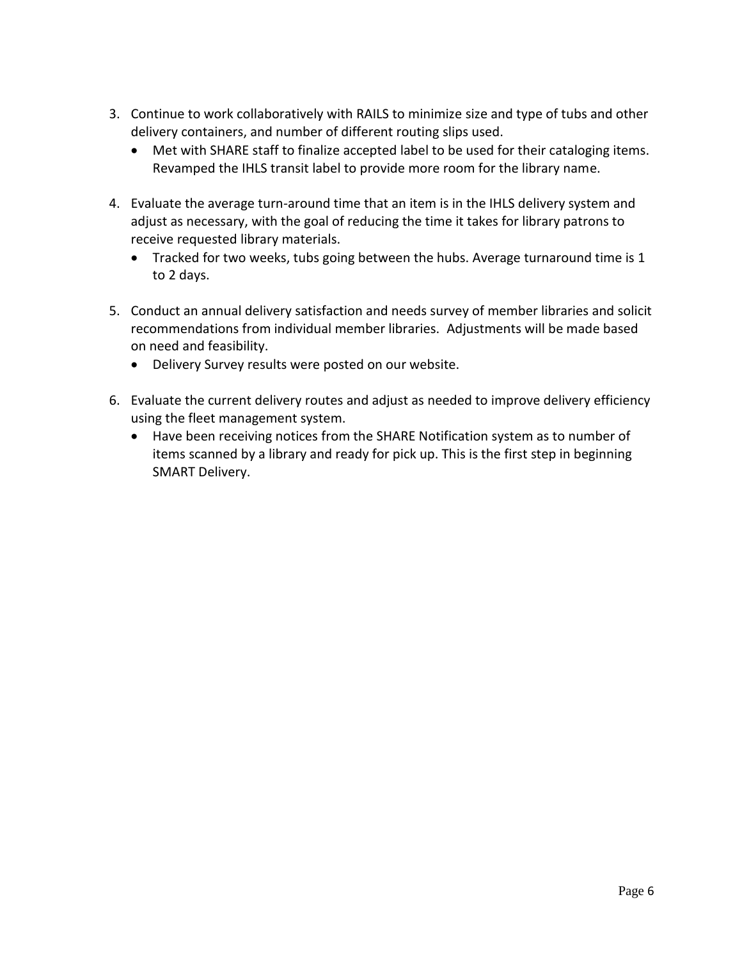- 3. Continue to work collaboratively with RAILS to minimize size and type of tubs and other delivery containers, and number of different routing slips used.
	- Met with SHARE staff to finalize accepted label to be used for their cataloging items. Revamped the IHLS transit label to provide more room for the library name.
- 4. Evaluate the average turn-around time that an item is in the IHLS delivery system and adjust as necessary, with the goal of reducing the time it takes for library patrons to receive requested library materials.
	- Tracked for two weeks, tubs going between the hubs. Average turnaround time is 1 to 2 days.
- 5. Conduct an annual delivery satisfaction and needs survey of member libraries and solicit recommendations from individual member libraries. Adjustments will be made based on need and feasibility.
	- Delivery Survey results were posted on our website.
- 6. Evaluate the current delivery routes and adjust as needed to improve delivery efficiency using the fleet management system.
	- Have been receiving notices from the SHARE Notification system as to number of items scanned by a library and ready for pick up. This is the first step in beginning SMART Delivery.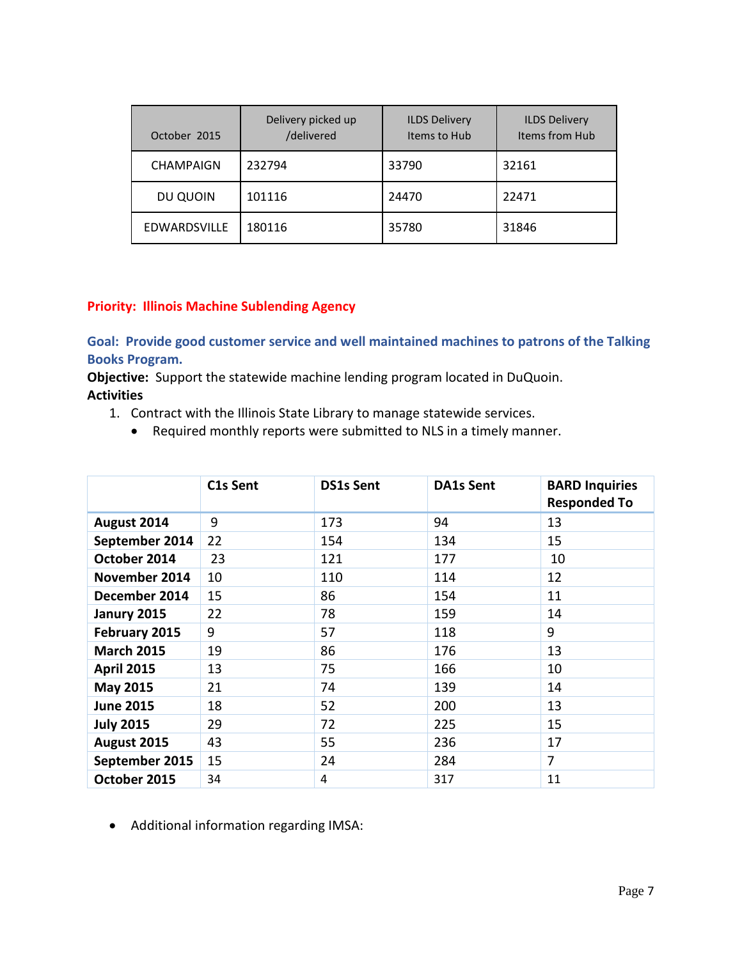| October 2015        | Delivery picked up<br>/delivered | <b>ILDS Delivery</b><br>Items to Hub | <b>ILDS Delivery</b><br>Items from Hub |
|---------------------|----------------------------------|--------------------------------------|----------------------------------------|
| <b>CHAMPAIGN</b>    | 232794                           | 33790                                | 32161                                  |
| DU QUOIN            | 101116                           | 24470                                | 22471                                  |
| <b>EDWARDSVILLE</b> | 180116                           | 35780                                | 31846                                  |

#### **Priority: Illinois Machine Sublending Agency**

**Goal: Provide good customer service and well maintained machines to patrons of the Talking Books Program.**

**Objective:** Support the statewide machine lending program located in DuQuoin. **Activities**

- 1. Contract with the Illinois State Library to manage statewide services.
	- Required monthly reports were submitted to NLS in a timely manner.

|                   | C1s Sent | <b>DS1s Sent</b> | <b>DA1s Sent</b> | <b>BARD Inquiries</b><br><b>Responded To</b> |
|-------------------|----------|------------------|------------------|----------------------------------------------|
| August 2014       | 9        | 173              | 94               | 13                                           |
| September 2014    | 22       | 154              | 134              | 15                                           |
| October 2014      | 23       | 121              | 177              | 10                                           |
| November 2014     | 10       | 110              | 114              | 12                                           |
| December 2014     | 15       | 86               | 154              | 11                                           |
| Janury 2015       | 22       | 78               | 159              | 14                                           |
| February 2015     | 9        | 57               | 118              | 9                                            |
| <b>March 2015</b> | 19       | 86               | 176              | 13                                           |
| <b>April 2015</b> | 13       | 75               | 166              | 10                                           |
| <b>May 2015</b>   | 21       | 74               | 139              | 14                                           |
| <b>June 2015</b>  | 18       | 52               | 200              | 13                                           |
| <b>July 2015</b>  | 29       | 72               | 225              | 15                                           |
| August 2015       | 43       | 55               | 236              | 17                                           |
| September 2015    | 15       | 24               | 284              | $\overline{7}$                               |
| October 2015      | 34       | 4                | 317              | 11                                           |

Additional information regarding IMSA: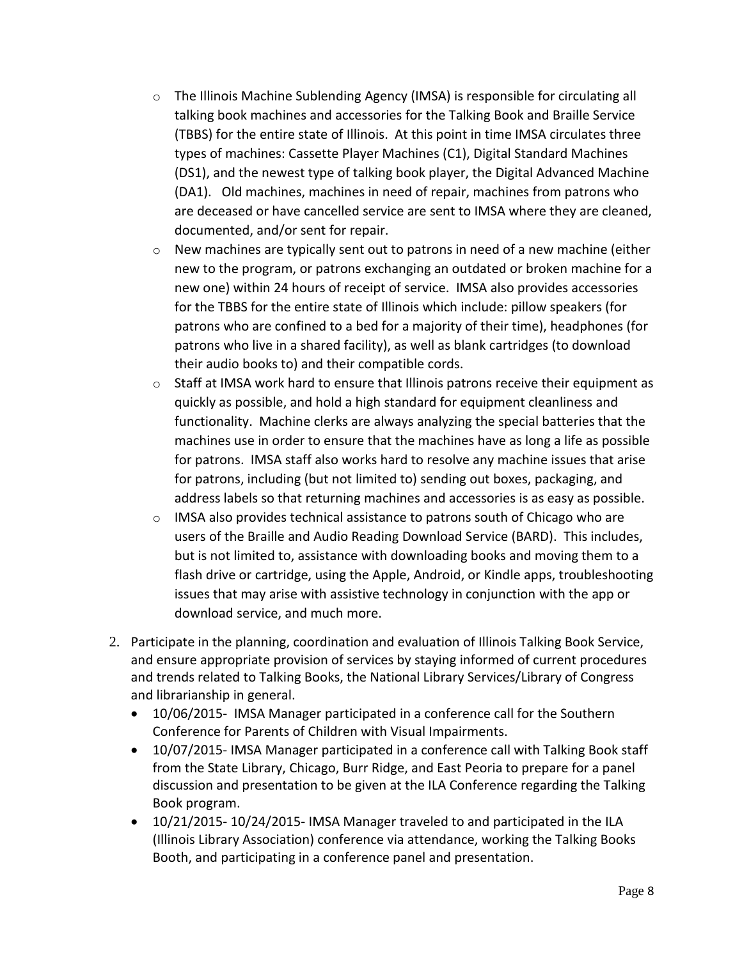- $\circ$  The Illinois Machine Sublending Agency (IMSA) is responsible for circulating all talking book machines and accessories for the Talking Book and Braille Service (TBBS) for the entire state of Illinois. At this point in time IMSA circulates three types of machines: Cassette Player Machines (C1), Digital Standard Machines (DS1), and the newest type of talking book player, the Digital Advanced Machine (DA1). Old machines, machines in need of repair, machines from patrons who are deceased or have cancelled service are sent to IMSA where they are cleaned, documented, and/or sent for repair.
- $\circ$  New machines are typically sent out to patrons in need of a new machine (either new to the program, or patrons exchanging an outdated or broken machine for a new one) within 24 hours of receipt of service. IMSA also provides accessories for the TBBS for the entire state of Illinois which include: pillow speakers (for patrons who are confined to a bed for a majority of their time), headphones (for patrons who live in a shared facility), as well as blank cartridges (to download their audio books to) and their compatible cords.
- $\circ$  Staff at IMSA work hard to ensure that Illinois patrons receive their equipment as quickly as possible, and hold a high standard for equipment cleanliness and functionality. Machine clerks are always analyzing the special batteries that the machines use in order to ensure that the machines have as long a life as possible for patrons. IMSA staff also works hard to resolve any machine issues that arise for patrons, including (but not limited to) sending out boxes, packaging, and address labels so that returning machines and accessories is as easy as possible.
- $\circ$  IMSA also provides technical assistance to patrons south of Chicago who are users of the Braille and Audio Reading Download Service (BARD). This includes, but is not limited to, assistance with downloading books and moving them to a flash drive or cartridge, using the Apple, Android, or Kindle apps, troubleshooting issues that may arise with assistive technology in conjunction with the app or download service, and much more.
- 2. Participate in the planning, coordination and evaluation of Illinois Talking Book Service, and ensure appropriate provision of services by staying informed of current procedures and trends related to Talking Books, the National Library Services/Library of Congress and librarianship in general.
	- 10/06/2015- IMSA Manager participated in a conference call for the Southern Conference for Parents of Children with Visual Impairments.
	- 10/07/2015- IMSA Manager participated in a conference call with Talking Book staff from the State Library, Chicago, Burr Ridge, and East Peoria to prepare for a panel discussion and presentation to be given at the ILA Conference regarding the Talking Book program.
	- 10/21/2015- 10/24/2015- IMSA Manager traveled to and participated in the ILA (Illinois Library Association) conference via attendance, working the Talking Books Booth, and participating in a conference panel and presentation.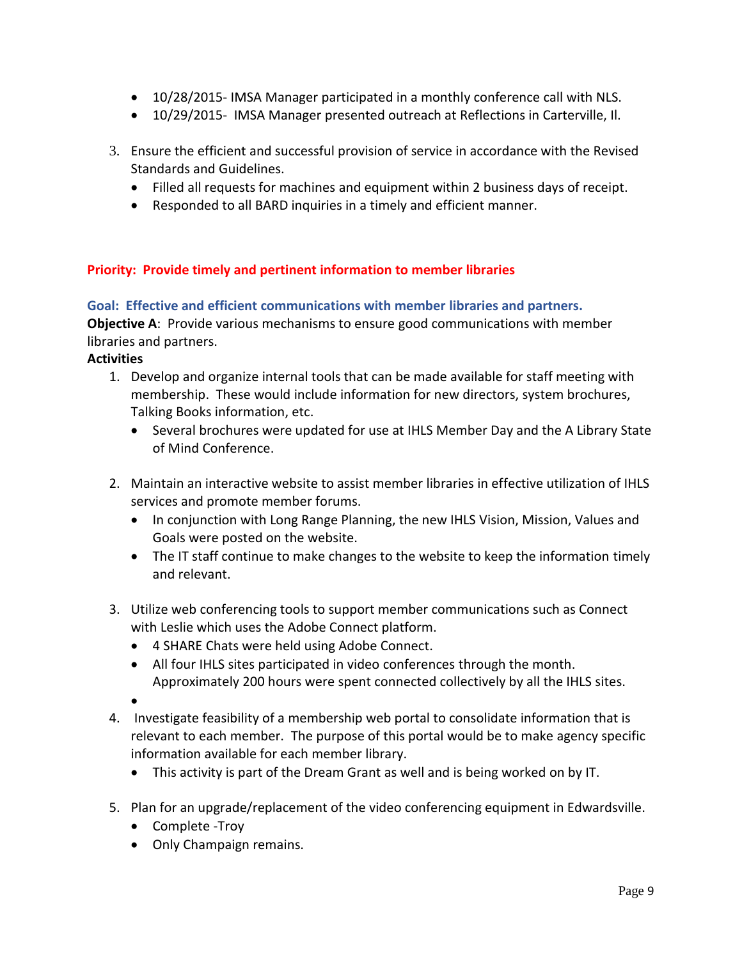- 10/28/2015- IMSA Manager participated in a monthly conference call with NLS.
- 10/29/2015- IMSA Manager presented outreach at Reflections in Carterville, Il.
- 3. Ensure the efficient and successful provision of service in accordance with the Revised Standards and Guidelines.
	- Filled all requests for machines and equipment within 2 business days of receipt.
	- Responded to all BARD inquiries in a timely and efficient manner.

#### **Priority: Provide timely and pertinent information to member libraries**

**Goal: Effective and efficient communications with member libraries and partners. Objective A**: Provide various mechanisms to ensure good communications with member libraries and partners.

- 1. Develop and organize internal tools that can be made available for staff meeting with membership. These would include information for new directors, system brochures, Talking Books information, etc.
	- Several brochures were updated for use at IHLS Member Day and the A Library State of Mind Conference.
- 2. Maintain an interactive website to assist member libraries in effective utilization of IHLS services and promote member forums.
	- In conjunction with Long Range Planning, the new IHLS Vision, Mission, Values and Goals were posted on the website.
	- The IT staff continue to make changes to the website to keep the information timely and relevant.
- 3. Utilize web conferencing tools to support member communications such as Connect with Leslie which uses the Adobe Connect platform.
	- 4 SHARE Chats were held using Adobe Connect.
	- All four IHLS sites participated in video conferences through the month. Approximately 200 hours were spent connected collectively by all the IHLS sites.
	- $\bullet$
- 4. Investigate feasibility of a membership web portal to consolidate information that is relevant to each member. The purpose of this portal would be to make agency specific information available for each member library.
	- This activity is part of the Dream Grant as well and is being worked on by IT.
- 5. Plan for an upgrade/replacement of the video conferencing equipment in Edwardsville.
	- Complete -Troy
	- Only Champaign remains.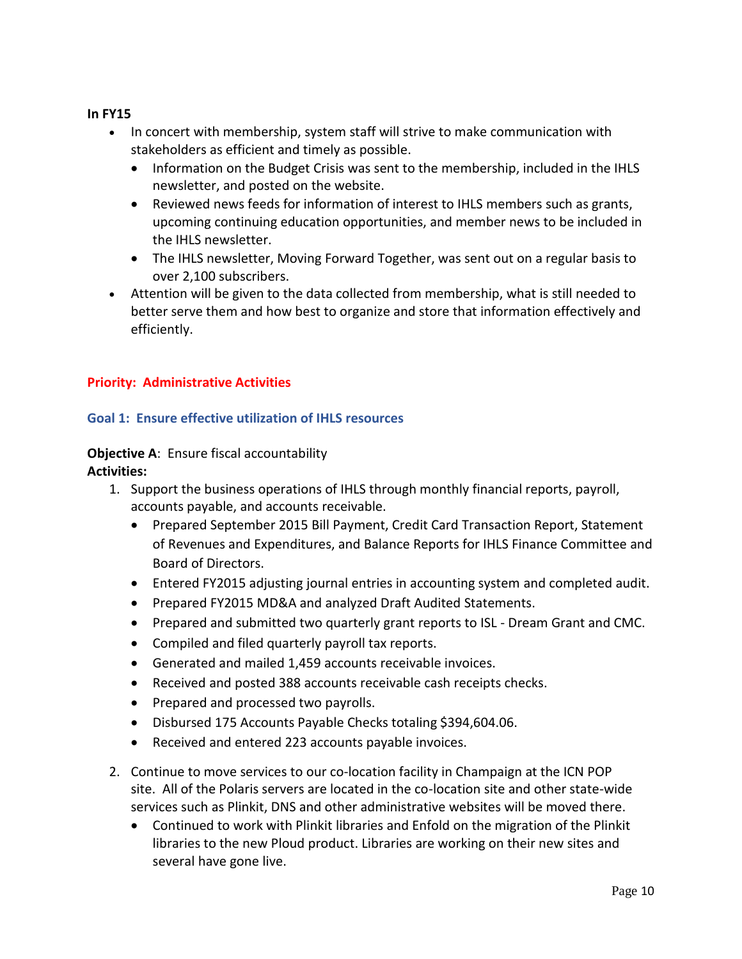#### **In FY15**

- In concert with membership, system staff will strive to make communication with stakeholders as efficient and timely as possible.
	- Information on the Budget Crisis was sent to the membership, included in the IHLS newsletter, and posted on the website.
	- Reviewed news feeds for information of interest to IHLS members such as grants, upcoming continuing education opportunities, and member news to be included in the IHLS newsletter.
	- The IHLS newsletter, Moving Forward Together, was sent out on a regular basis to over 2,100 subscribers.
- Attention will be given to the data collected from membership, what is still needed to better serve them and how best to organize and store that information effectively and efficiently.

# **Priority: Administrative Activities**

# **Goal 1: Ensure effective utilization of IHLS resources**

#### **Objective A**: Ensure fiscal accountability **Activities:**

- 1. Support the business operations of IHLS through monthly financial reports, payroll, accounts payable, and accounts receivable.
	- Prepared September 2015 Bill Payment, Credit Card Transaction Report, Statement of Revenues and Expenditures, and Balance Reports for IHLS Finance Committee and Board of Directors.
	- Entered FY2015 adjusting journal entries in accounting system and completed audit.
	- Prepared FY2015 MD&A and analyzed Draft Audited Statements.
	- Prepared and submitted two quarterly grant reports to ISL Dream Grant and CMC.
	- Compiled and filed quarterly payroll tax reports.
	- Generated and mailed 1,459 accounts receivable invoices.
	- Received and posted 388 accounts receivable cash receipts checks.
	- Prepared and processed two payrolls.
	- Disbursed 175 Accounts Payable Checks totaling \$394,604.06.
	- Received and entered 223 accounts payable invoices.
- 2. Continue to move services to our co-location facility in Champaign at the ICN POP site. All of the Polaris servers are located in the co-location site and other state-wide services such as Plinkit, DNS and other administrative websites will be moved there.
	- Continued to work with Plinkit libraries and Enfold on the migration of the Plinkit libraries to the new Ploud product. Libraries are working on their new sites and several have gone live.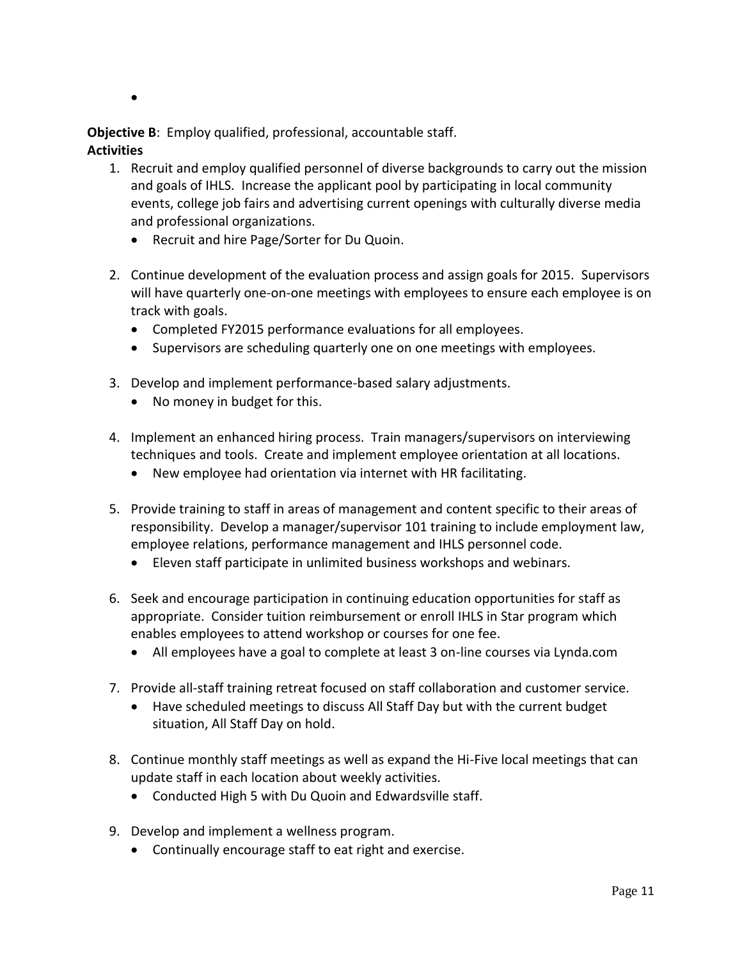$\bullet$ 

**Objective B**: Employ qualified, professional, accountable staff. **Activities**

- 1. Recruit and employ qualified personnel of diverse backgrounds to carry out the mission and goals of IHLS. Increase the applicant pool by participating in local community events, college job fairs and advertising current openings with culturally diverse media and professional organizations.
	- Recruit and hire Page/Sorter for Du Quoin.
- 2. Continue development of the evaluation process and assign goals for 2015. Supervisors will have quarterly one-on-one meetings with employees to ensure each employee is on track with goals.
	- Completed FY2015 performance evaluations for all employees.
	- Supervisors are scheduling quarterly one on one meetings with employees.
- 3. Develop and implement performance-based salary adjustments.
	- No money in budget for this.
- 4. Implement an enhanced hiring process. Train managers/supervisors on interviewing techniques and tools. Create and implement employee orientation at all locations.
	- New employee had orientation via internet with HR facilitating.
- 5. Provide training to staff in areas of management and content specific to their areas of responsibility. Develop a manager/supervisor 101 training to include employment law, employee relations, performance management and IHLS personnel code.
	- Eleven staff participate in unlimited business workshops and webinars.
- 6. Seek and encourage participation in continuing education opportunities for staff as appropriate. Consider tuition reimbursement or enroll IHLS in Star program which enables employees to attend workshop or courses for one fee.
	- All employees have a goal to complete at least 3 on-line courses via Lynda.com
- 7. Provide all-staff training retreat focused on staff collaboration and customer service.
	- Have scheduled meetings to discuss All Staff Day but with the current budget situation, All Staff Day on hold.
- 8. Continue monthly staff meetings as well as expand the Hi-Five local meetings that can update staff in each location about weekly activities.
	- Conducted High 5 with Du Quoin and Edwardsville staff.
- 9. Develop and implement a wellness program.
	- Continually encourage staff to eat right and exercise.